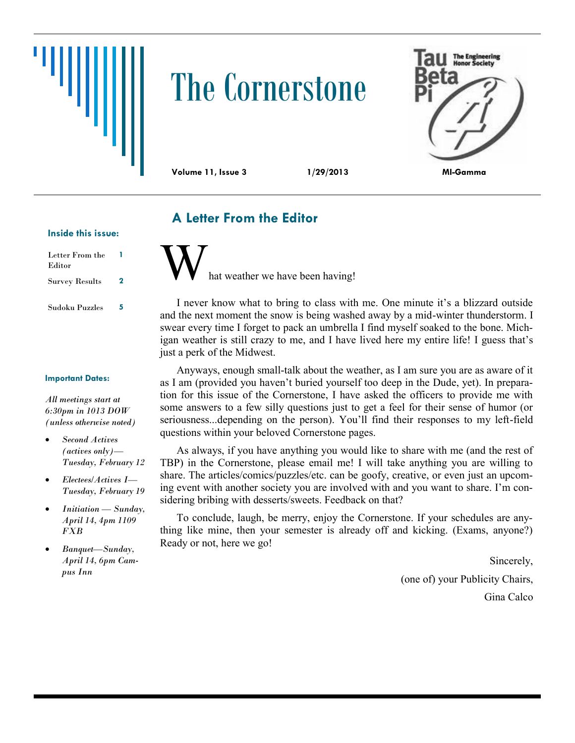# The Cornerstone



## **A Letter From the Editor**

#### **Inside this issue:**

| Letter From the<br>Editor |   |
|---------------------------|---|
| <b>Survey Results</b>     | 2 |
| Sudoku Puzzles            | 5 |

#### **Important Dates:**

*All meetings start at 6:30pm in 1013 DOW (unless otherwise noted)*

- *Second Actives (actives only)— Tuesday, February 12*
- *Electees/Actives I— Tuesday, February 19*
- *Initiation — Sunday, April 14, 4pm 1109 FXB*
- *Banquet—Sunday, April 14, 6pm Campus Inn*

hat weather we have been having!

I never know what to bring to class with me. One minute it's a blizzard outside and the next moment the snow is being washed away by a mid-winter thunderstorm. I swear every time I forget to pack an umbrella I find myself soaked to the bone. Michigan weather is still crazy to me, and I have lived here my entire life! I guess that's just a perk of the Midwest.

Anyways, enough small-talk about the weather, as I am sure you are as aware of it as I am (provided you haven't buried yourself too deep in the Dude, yet). In preparation for this issue of the Cornerstone, I have asked the officers to provide me with some answers to a few silly questions just to get a feel for their sense of humor (or seriousness...depending on the person). You'll find their responses to my left-field questions within your beloved Cornerstone pages.

As always, if you have anything you would like to share with me (and the rest of TBP) in the Cornerstone, please email me! I will take anything you are willing to share. The articles/comics/puzzles/etc. can be goofy, creative, or even just an upcoming event with another society you are involved with and you want to share. I'm considering bribing with desserts/sweets. Feedback on that?

To conclude, laugh, be merry, enjoy the Cornerstone. If your schedules are anything like mine, then your semester is already off and kicking. (Exams, anyone?) Ready or not, here we go!

> Sincerely, (one of) your Publicity Chairs, Gina Calco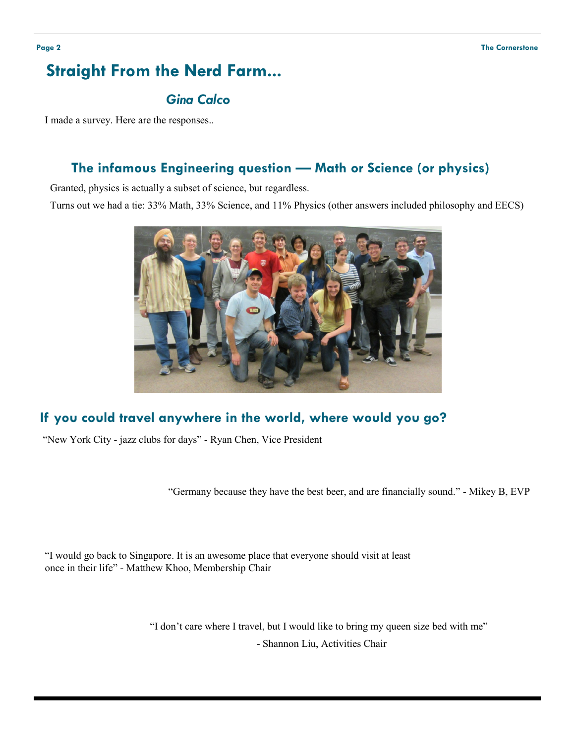# **Straight From the Nerd Farm...**

## *Gina Calco*

I made a survey. Here are the responses..

### **The infamous Engineering question — Math or Science (or physics)**

Granted, physics is actually a subset of science, but regardless.

Turns out we had a tie: 33% Math, 33% Science, and 11% Physics (other answers included philosophy and EECS)



### **If you could travel anywhere in the world, where would you go?**

"New York City - jazz clubs for days" - Ryan Chen, Vice President

"Germany because they have the best beer, and are financially sound." - Mikey B, EVP

"I would go back to Singapore. It is an awesome place that everyone should visit at least once in their life" - Matthew Khoo, Membership Chair

"I don't care where I travel, but I would like to bring my queen size bed with me"

- Shannon Liu, Activities Chair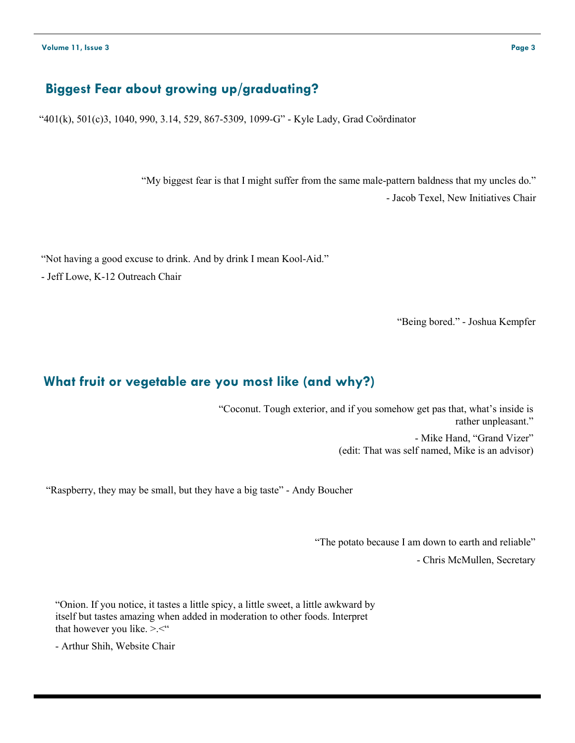### **Biggest Fear about growing up/graduating?**

"401(k), 501(c)3, 1040, 990, 3.14, 529, 867-5309, 1099-G" - Kyle Lady, Grad Coӧrdinator

"My biggest fear is that I might suffer from the same male-pattern baldness that my uncles do." - Jacob Texel, New Initiatives Chair

"Not having a good excuse to drink. And by drink I mean Kool-Aid."

- Jeff Lowe, K-12 Outreach Chair

"Being bored." - Joshua Kempfer

#### **What fruit or vegetable are you most like (and why?)**

"Coconut. Tough exterior, and if you somehow get pas that, what's inside is rather unpleasant." - Mike Hand, "Grand Vizer" (edit: That was self named, Mike is an advisor)

"Raspberry, they may be small, but they have a big taste" - Andy Boucher

"The potato because I am down to earth and reliable" - Chris McMullen, Secretary

"Onion. If you notice, it tastes a little spicy, a little sweet, a little awkward by itself but tastes amazing when added in moderation to other foods. Interpret that however you like. >.<"

- Arthur Shih, Website Chair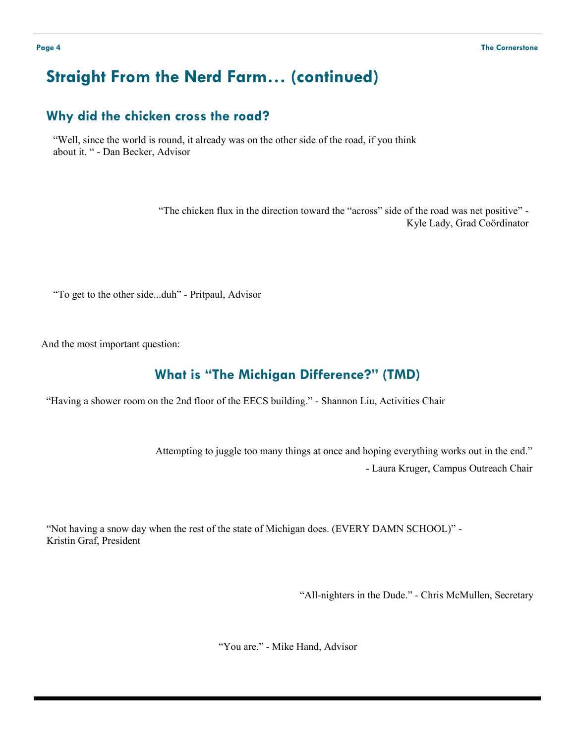# **Straight From the Nerd Farm… (continued)**

#### **Why did the chicken cross the road?**

"Well, since the world is round, it already was on the other side of the road, if you think about it. " - Dan Becker, Advisor

> "The chicken flux in the direction toward the "across" side of the road was net positive" - Kyle Lady, Grad Coӧrdinator

"To get to the other side...duh" - Pritpaul, Advisor

And the most important question:

#### **What is "The Michigan Difference?" (TMD)**

"Having a shower room on the 2nd floor of the EECS building." - Shannon Liu, Activities Chair

Attempting to juggle too many things at once and hoping everything works out in the end." - Laura Kruger, Campus Outreach Chair

"Not having a snow day when the rest of the state of Michigan does. (EVERY DAMN SCHOOL)" - Kristin Graf, President

"All-nighters in the Dude." - Chris McMullen, Secretary

"You are." - Mike Hand, Advisor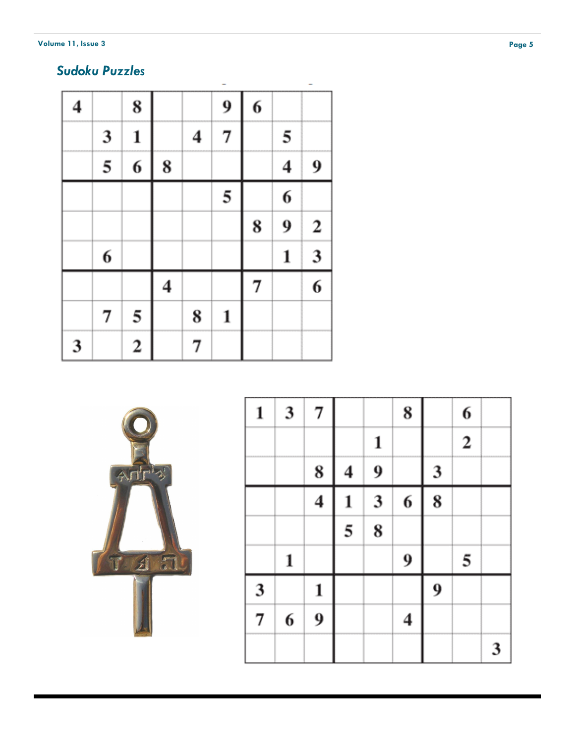#### **Volume 11, Issue 3**

# *Sudoku Puzzles*

| 4 |   | 8                       |   |   | 9 | 6 |   |                         |
|---|---|-------------------------|---|---|---|---|---|-------------------------|
|   | 3 | 1                       |   | 4 | 7 |   | 5 |                         |
|   | 5 | 6                       | 8 |   |   |   | 4 | 9                       |
|   |   |                         |   |   | 5 |   | 6 |                         |
|   |   |                         |   |   |   | 8 | 9 | $\boldsymbol{2}$        |
|   | 6 |                         |   |   |   |   | 1 | $\overline{\mathbf{3}}$ |
|   |   |                         | 4 |   |   | 7 |   | 6                       |
|   | 7 | 5                       |   | 8 | 1 |   |   |                         |
| 3 |   | $\overline{\mathbf{c}}$ |   | 7 |   |   |   |                         |



| 1 | 3 | 7                       |                |                         | 8                       |                  | 6              |   |
|---|---|-------------------------|----------------|-------------------------|-------------------------|------------------|----------------|---|
|   |   |                         |                | 1                       |                         |                  | $\overline{2}$ |   |
|   |   | 8                       | 4              | 9                       |                         | 3                |                |   |
|   |   | $\overline{\mathbf{4}}$ | 1              | $\overline{\mathbf{3}}$ | 6                       | 8                |                |   |
|   |   |                         | $\overline{5}$ | 8                       |                         |                  |                |   |
|   | 1 |                         |                |                         | 9                       |                  | 5              |   |
| 3 |   | 1                       |                |                         |                         | $\boldsymbol{9}$ |                |   |
| 7 | 6 | 9                       |                |                         | $\overline{\mathbf{4}}$ |                  |                |   |
|   |   |                         |                |                         |                         |                  |                | 3 |